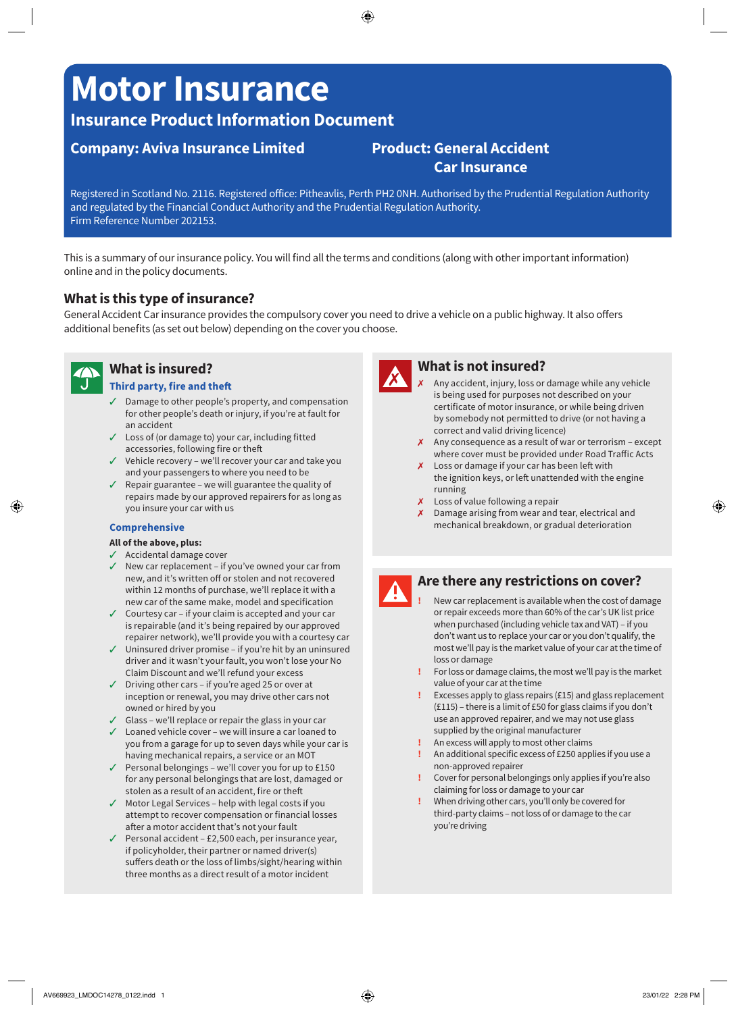# **Motor Insurance**

## **Insurance Product Information Document**

## **Company: Aviva Insurance Limited Product: General Accident**

## **Car Insurance**

Registered in Scotland No. 2116. Registered office: Pitheavlis, Perth PH2 0NH. Authorised by the Prudential Regulation Authority and regulated by the Financial Conduct Authority and the Prudential Regulation Authority. Firm Reference Number 202153.

This is a summary of our insurance policy. You will find all the terms and conditions (along with other important information) online and in the policy documents.

## **What is this type of insurance?**

General Accident Car insurance provides the compulsory cover you need to drive a vehicle on a public highway. It also offers additional benefits (as set out below) depending on the cover you choose.



## **What is insured?**

#### **Third party, fire and theft**

- $\sqrt{ }$  Damage to other people's property, and compensation for other people's death or injury, if you're at fault for an accident
- $\checkmark$  Loss of (or damage to) your car, including fitted accessories, following fire or theft
- $\checkmark$  Vehicle recovery we'll recover your car and take you and your passengers to where you need to be
- $\sqrt{ }$  Repair guarantee we will guarantee the quality of repairs made by our approved repairers for as long as you insure your car with us

#### **Comprehensive**

#### **All of the above, plus:**

- $\checkmark$  Accidental damage cover
- $\checkmark$  New car replacement if you've owned your car from new, and it's written off or stolen and not recovered within 12 months of purchase, we'll replace it with a new car of the same make, model and specification
- $\checkmark$  Courtesy car if your claim is accepted and your car is repairable (and it's being repaired by our approved repairer network), we'll provide you with a courtesy car
- $\checkmark$  Uninsured driver promise if you're hit by an uninsured driver and it wasn't your fault, you won't lose your No Claim Discount and we'll refund your excess
- $\checkmark$  Driving other cars if you're aged 25 or over at inception or renewal, you may drive other cars not owned or hired by you
- $\checkmark$  Glass we'll replace or repair the glass in your car
- $\angle$  Loaned vehicle cover we will insure a car loaned to you from a garage for up to seven days while your car is having mechanical repairs, a service or an MOT
- $\checkmark$  Personal belongings we'll cover you for up to £150 for any personal belongings that are lost, damaged or stolen as a result of an accident, fire or theft
- $\checkmark$  Motor Legal Services help with legal costs if you attempt to recover compensation or financial losses after a motor accident that's not your fault
- $\checkmark$  Personal accident £2,500 each, per insurance year, if policyholder, their partner or named driver(s) suffers death or the loss of limbs/sight/hearing within three months as a direct result of a motor incident



## **What is not insured?**

- Any accident, injury, loss or damage while any vehicle is being used for purposes not described on your certificate of motor insurance, or while being driven by somebody not permitted to drive (or not having a correct and valid driving licence)
- $\chi$  Any consequence as a result of war or terrorism except where cover must be provided under Road Traffic Acts
- $\chi$  Loss or damage if your car has been left with the ignition keys, or left unattended with the engine running
- $\chi$  Loss of value following a repair
- 7 Damage arising from wear and tear, electrical and mechanical breakdown, or gradual deterioration



## **Are there any restrictions on cover?**

- **!** New car replacement is available when the cost of damage or repair exceeds more than 60% of the car's UK list price when purchased (including vehicle tax and VAT) – if you don't want us to replace your car or you don't qualify, the most we'll pay is the market value of your car at the time of loss or damage
- **!** For loss or damage claims, the most we'll pay is the market value of your car at the time
- **!** Excesses apply to glass repairs (£15) and glass replacement (£115) – there is a limit of £50 for glass claims if you don't use an approved repairer, and we may not use glass supplied by the original manufacturer
- **!** An excess will apply to most other claims
- **!** An additional specific excess of £250 applies if you use a non-approved repairer
- **!** Cover for personal belongings only applies if you're also claiming for loss or damage to your car
- **!** When driving other cars, you'll only be covered for third-party claims – not loss of or damage to the car you're driving